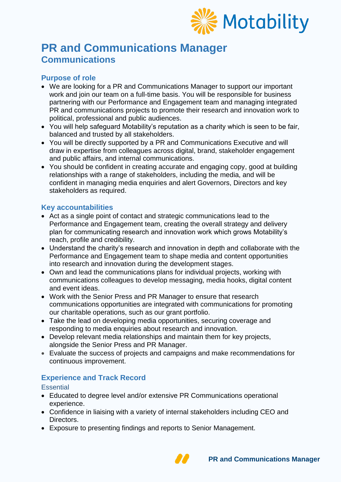

# **PR and Communications Manager Communications**

# **Purpose of role**

- We are looking for a PR and Communications Manager to support our important work and join our team on a full-time basis. You will be responsible for business partnering with our Performance and Engagement team and managing integrated PR and communications projects to promote their research and innovation work to political, professional and public audiences.
- You will help safeguard Motability's reputation as a charity which is seen to be fair, balanced and trusted by all stakeholders.
- You will be directly supported by a PR and Communications Executive and will draw in expertise from colleagues across digital, brand, stakeholder engagement and public affairs, and internal communications.
- You should be confident in creating accurate and engaging copy, good at building relationships with a range of stakeholders, including the media, and will be confident in managing media enquiries and alert Governors, Directors and key stakeholders as required.

## **Key accountabilities**

- Act as a single point of contact and strategic communications lead to the Performance and Engagement team, creating the overall strategy and delivery plan for communicating research and innovation work which grows Motability's reach, profile and credibility.
- Understand the charity's research and innovation in depth and collaborate with the Performance and Engagement team to shape media and content opportunities into research and innovation during the development stages.
- Own and lead the communications plans for individual projects, working with communications colleagues to develop messaging, media hooks, digital content and event ideas.
- Work with the Senior Press and PR Manager to ensure that research communications opportunities are integrated with communications for promoting our charitable operations, such as our grant portfolio.
- Take the lead on developing media opportunities, securing coverage and responding to media enquiries about research and innovation.
- Develop relevant media relationships and maintain them for key projects, alongside the Senior Press and PR Manager.
- Evaluate the success of projects and campaigns and make recommendations for continuous improvement.

# **Experience and Track Record**

#### **Essential**

- Educated to degree level and/or extensive PR Communications operational experience.
- Confidence in liaising with a variety of internal stakeholders including CEO and Directors.
- Exposure to presenting findings and reports to Senior Management.

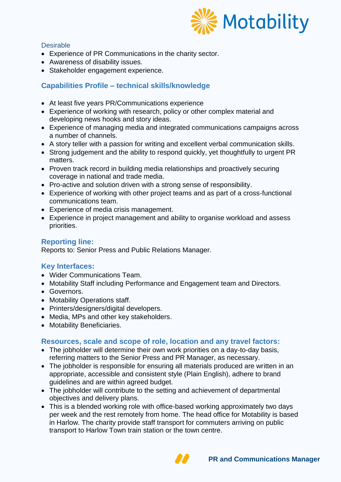

#### **Desirable**

- Experience of PR Communications in the charity sector.
- Awareness of disability issues.
- Stakeholder engagement experience.

## **Capabilities Profile – technical skills/knowledge**

- At least five years PR/Communications experience
- Experience of working with research, policy or other complex material and developing news hooks and story ideas.
- Experience of managing media and integrated communications campaigns across a number of channels.
- A story teller with a passion for writing and excellent verbal communication skills.
- Strong judgement and the ability to respond quickly, yet thoughtfully to urgent PR matters.
- Proven track record in building media relationships and proactively securing coverage in national and trade media.
- Pro-active and solution driven with a strong sense of responsibility.
- Experience of working with other project teams and as part of a cross-functional communications team.
- Experience of media crisis management.
- Experience in project management and ability to organise workload and assess priorities.

### **Reporting line:**

Reports to: Senior Press and Public Relations Manager.

## **Key Interfaces:**

- Wider Communications Team.
- Motability Staff including Performance and Engagement team and Directors.
- Governors.
- Motability Operations staff.
- Printers/designers/digital developers.
- Media, MPs and other key stakeholders.
- Motability Beneficiaries.

#### **Resources, scale and scope of role, location and any travel factors:**

- The jobholder will determine their own work priorities on a day-to-day basis, referring matters to the Senior Press and PR Manager, as necessary.
- The jobholder is responsible for ensuring all materials produced are written in an appropriate, accessible and consistent style (Plain English), adhere to brand guidelines and are within agreed budget.
- The jobholder will contribute to the setting and achievement of departmental objectives and delivery plans.
- This is a blended working role with office-based working approximately two days per week and the rest remotely from home. The head office for Motability is based in Harlow. The charity provide staff transport for commuters arriving on public transport to Harlow Town train station or the town centre.